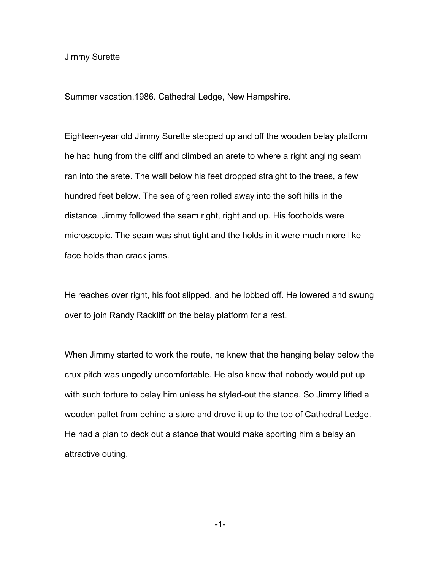## Jimmy Surette

Summer vacation,1986. Cathedral Ledge, New Hampshire.

Eighteen-year old Jimmy Surette stepped up and off the wooden belay platform he had hung from the cliff and climbed an arete to where a right angling seam ran into the arete. The wall below his feet dropped straight to the trees, a few hundred feet below. The sea of green rolled away into the soft hills in the distance. Jimmy followed the seam right, right and up. His footholds were microscopic. The seam was shut tight and the holds in it were much more like face holds than crack jams.

He reaches over right, his foot slipped, and he lobbed off. He lowered and swung over to join Randy Rackliff on the belay platform for a rest.

When Jimmy started to work the route, he knew that the hanging belay below the crux pitch was ungodly uncomfortable. He also knew that nobody would put up with such torture to belay him unless he styled-out the stance. So Jimmy lifted a wooden pallet from behind a store and drove it up to the top of Cathedral Ledge. He had a plan to deck out a stance that would make sporting him a belay an attractive outing.

-1-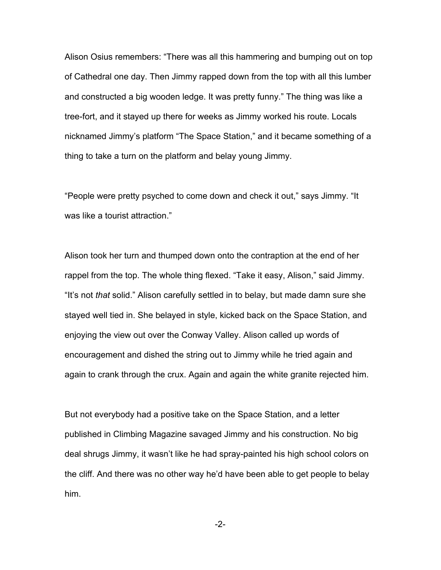Alison Osius remembers: "There was all this hammering and bumping out on top of Cathedral one day. Then Jimmy rapped down from the top with all this lumber and constructed a big wooden ledge. It was pretty funny." The thing was like a tree-fort, and it stayed up there for weeks as Jimmy worked his route. Locals nicknamed Jimmy's platform "The Space Station," and it became something of a thing to take a turn on the platform and belay young Jimmy.

"People were pretty psyched to come down and check it out," says Jimmy. "It was like a tourist attraction."

Alison took her turn and thumped down onto the contraption at the end of her rappel from the top. The whole thing flexed. "Take it easy, Alison," said Jimmy. "It's not *that* solid." Alison carefully settled in to belay, but made damn sure she stayed well tied in. She belayed in style, kicked back on the Space Station, and enjoying the view out over the Conway Valley. Alison called up words of encouragement and dished the string out to Jimmy while he tried again and again to crank through the crux. Again and again the white granite rejected him.

But not everybody had a positive take on the Space Station, and a letter published in Climbing Magazine savaged Jimmy and his construction. No big deal shrugs Jimmy, it wasn't like he had spray-painted his high school colors on the cliff. And there was no other way he'd have been able to get people to belay him.

-2-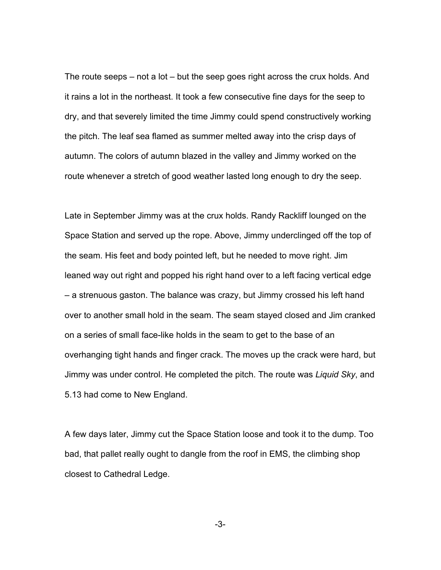The route seeps – not a lot – but the seep goes right across the crux holds. And it rains a lot in the northeast. It took a few consecutive fine days for the seep to dry, and that severely limited the time Jimmy could spend constructively working the pitch. The leaf sea flamed as summer melted away into the crisp days of autumn. The colors of autumn blazed in the valley and Jimmy worked on the route whenever a stretch of good weather lasted long enough to dry the seep.

Late in September Jimmy was at the crux holds. Randy Rackliff lounged on the Space Station and served up the rope. Above, Jimmy underclinged off the top of the seam. His feet and body pointed left, but he needed to move right. Jim leaned way out right and popped his right hand over to a left facing vertical edge – a strenuous gaston. The balance was crazy, but Jimmy crossed his left hand over to another small hold in the seam. The seam stayed closed and Jim cranked on a series of small face-like holds in the seam to get to the base of an overhanging tight hands and finger crack. The moves up the crack were hard, but Jimmy was under control. He completed the pitch. The route was *Liquid Sky*, and 5.13 had come to New England.

A few days later, Jimmy cut the Space Station loose and took it to the dump. Too bad, that pallet really ought to dangle from the roof in EMS, the climbing shop closest to Cathedral Ledge.

-3-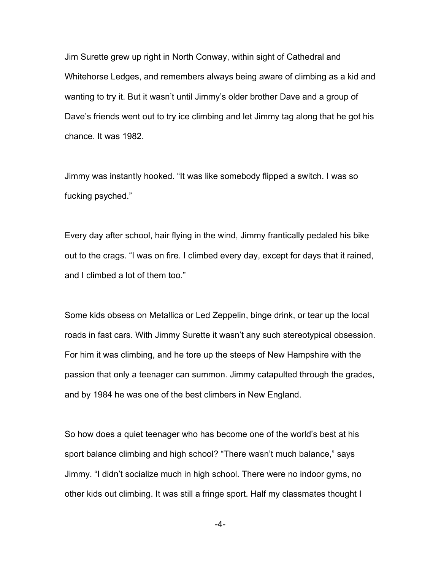Jim Surette grew up right in North Conway, within sight of Cathedral and Whitehorse Ledges, and remembers always being aware of climbing as a kid and wanting to try it. But it wasn't until Jimmy's older brother Dave and a group of Dave's friends went out to try ice climbing and let Jimmy tag along that he got his chance. It was 1982.

Jimmy was instantly hooked. "It was like somebody flipped a switch. I was so fucking psyched."

Every day after school, hair flying in the wind, Jimmy frantically pedaled his bike out to the crags. "I was on fire. I climbed every day, except for days that it rained, and I climbed a lot of them too."

Some kids obsess on Metallica or Led Zeppelin, binge drink, or tear up the local roads in fast cars. With Jimmy Surette it wasn't any such stereotypical obsession. For him it was climbing, and he tore up the steeps of New Hampshire with the passion that only a teenager can summon. Jimmy catapulted through the grades, and by 1984 he was one of the best climbers in New England.

So how does a quiet teenager who has become one of the world's best at his sport balance climbing and high school? "There wasn't much balance," says Jimmy. "I didn't socialize much in high school. There were no indoor gyms, no other kids out climbing. It was still a fringe sport. Half my classmates thought I

-4-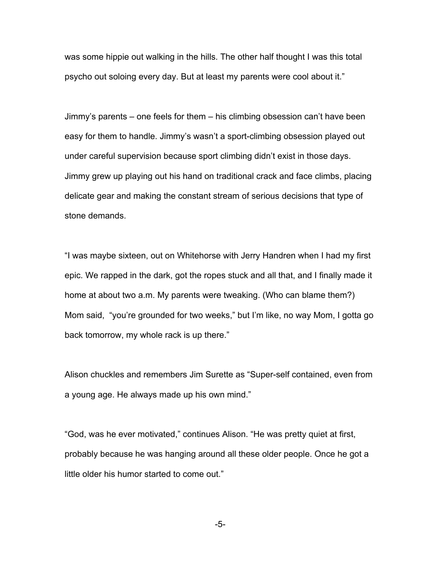was some hippie out walking in the hills. The other half thought I was this total psycho out soloing every day. But at least my parents were cool about it."

Jimmy's parents – one feels for them – his climbing obsession can't have been easy for them to handle. Jimmy's wasn't a sport-climbing obsession played out under careful supervision because sport climbing didn't exist in those days. Jimmy grew up playing out his hand on traditional crack and face climbs, placing delicate gear and making the constant stream of serious decisions that type of stone demands.

"I was maybe sixteen, out on Whitehorse with Jerry Handren when I had my first epic. We rapped in the dark, got the ropes stuck and all that, and I finally made it home at about two a.m. My parents were tweaking. (Who can blame them?) Mom said, "you're grounded for two weeks," but I'm like, no way Mom, I gotta go back tomorrow, my whole rack is up there."

Alison chuckles and remembers Jim Surette as "Super-self contained, even from a young age. He always made up his own mind."

"God, was he ever motivated," continues Alison. "He was pretty quiet at first, probably because he was hanging around all these older people. Once he got a little older his humor started to come out."

-5-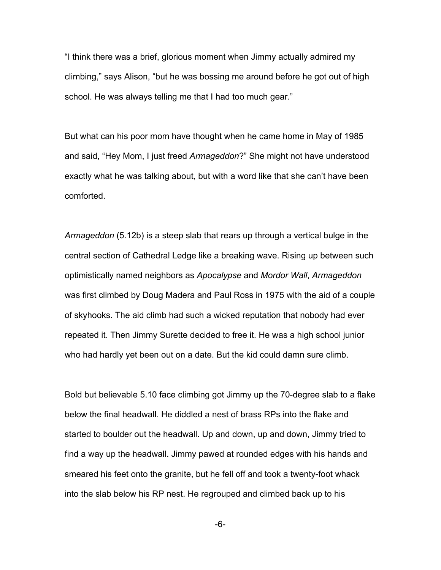"I think there was a brief, glorious moment when Jimmy actually admired my climbing," says Alison, "but he was bossing me around before he got out of high school. He was always telling me that I had too much gear."

But what can his poor mom have thought when he came home in May of 1985 and said, "Hey Mom, I just freed *Armageddon*?" She might not have understood exactly what he was talking about, but with a word like that she can't have been comforted.

*Armageddon* (5.12b) is a steep slab that rears up through a vertical bulge in the central section of Cathedral Ledge like a breaking wave. Rising up between such optimistically named neighbors as *Apocalypse* and *Mordor Wall*, *Armageddon*  was first climbed by Doug Madera and Paul Ross in 1975 with the aid of a couple of skyhooks. The aid climb had such a wicked reputation that nobody had ever repeated it. Then Jimmy Surette decided to free it. He was a high school junior who had hardly yet been out on a date. But the kid could damn sure climb.

Bold but believable 5.10 face climbing got Jimmy up the 70-degree slab to a flake below the final headwall. He diddled a nest of brass RPs into the flake and started to boulder out the headwall. Up and down, up and down, Jimmy tried to find a way up the headwall. Jimmy pawed at rounded edges with his hands and smeared his feet onto the granite, but he fell off and took a twenty-foot whack into the slab below his RP nest. He regrouped and climbed back up to his

-6-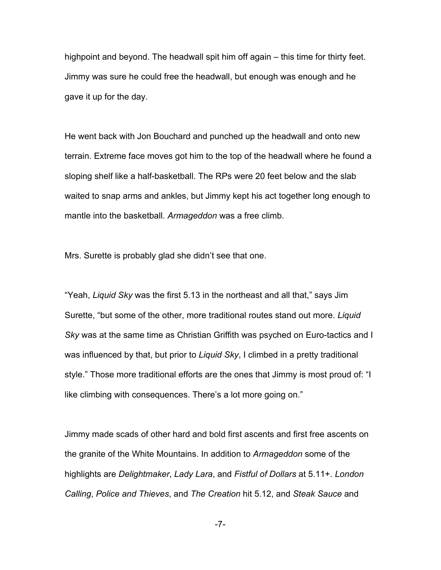highpoint and beyond. The headwall spit him off again – this time for thirty feet. Jimmy was sure he could free the headwall, but enough was enough and he gave it up for the day.

He went back with Jon Bouchard and punched up the headwall and onto new terrain. Extreme face moves got him to the top of the headwall where he found a sloping shelf like a half-basketball. The RPs were 20 feet below and the slab waited to snap arms and ankles, but Jimmy kept his act together long enough to mantle into the basketball. *Armageddon* was a free climb.

Mrs. Surette is probably glad she didn't see that one.

"Yeah, *Liquid Sky* was the first 5.13 in the northeast and all that," says Jim Surette, "but some of the other, more traditional routes stand out more. *Liquid Sky* was at the same time as Christian Griffith was psyched on Euro-tactics and I was influenced by that, but prior to *Liquid Sky*, I climbed in a pretty traditional style." Those more traditional efforts are the ones that Jimmy is most proud of: "I like climbing with consequences. There's a lot more going on."

Jimmy made scads of other hard and bold first ascents and first free ascents on the granite of the White Mountains. In addition to *Armageddon* some of the highlights are *Delightmaker*, *Lady Lara*, and *Fistful of Dollars* at 5.11+. *London Calling*, *Police and Thieves*, and *The Creation* hit 5.12, and *Steak Sauce* and

-7-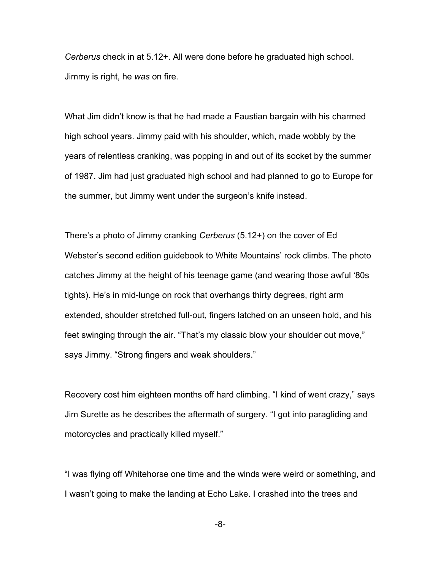*Cerberus* check in at 5.12+. All were done before he graduated high school. Jimmy is right, he *was* on fire.

What Jim didn't know is that he had made a Faustian bargain with his charmed high school years. Jimmy paid with his shoulder, which, made wobbly by the years of relentless cranking, was popping in and out of its socket by the summer of 1987. Jim had just graduated high school and had planned to go to Europe for the summer, but Jimmy went under the surgeon's knife instead.

There's a photo of Jimmy cranking *Cerberus* (5.12+) on the cover of Ed Webster's second edition guidebook to White Mountains' rock climbs. The photo catches Jimmy at the height of his teenage game (and wearing those awful '80s tights). He's in mid-lunge on rock that overhangs thirty degrees, right arm extended, shoulder stretched full-out, fingers latched on an unseen hold, and his feet swinging through the air. "That's my classic blow your shoulder out move," says Jimmy. "Strong fingers and weak shoulders."

Recovery cost him eighteen months off hard climbing. "I kind of went crazy," says Jim Surette as he describes the aftermath of surgery. "I got into paragliding and motorcycles and practically killed myself."

"I was flying off Whitehorse one time and the winds were weird or something, and I wasn't going to make the landing at Echo Lake. I crashed into the trees and

-8-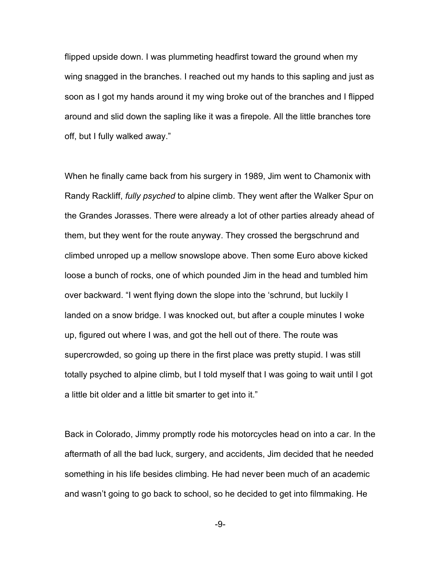flipped upside down. I was plummeting headfirst toward the ground when my wing snagged in the branches. I reached out my hands to this sapling and just as soon as I got my hands around it my wing broke out of the branches and I flipped around and slid down the sapling like it was a firepole. All the little branches tore off, but I fully walked away."

When he finally came back from his surgery in 1989, Jim went to Chamonix with Randy Rackliff, *fully psyched* to alpine climb. They went after the Walker Spur on the Grandes Jorasses. There were already a lot of other parties already ahead of them, but they went for the route anyway. They crossed the bergschrund and climbed unroped up a mellow snowslope above. Then some Euro above kicked loose a bunch of rocks, one of which pounded Jim in the head and tumbled him over backward. "I went flying down the slope into the 'schrund, but luckily I landed on a snow bridge. I was knocked out, but after a couple minutes I woke up, figured out where I was, and got the hell out of there. The route was supercrowded, so going up there in the first place was pretty stupid. I was still totally psyched to alpine climb, but I told myself that I was going to wait until I got a little bit older and a little bit smarter to get into it."

Back in Colorado, Jimmy promptly rode his motorcycles head on into a car. In the aftermath of all the bad luck, surgery, and accidents, Jim decided that he needed something in his life besides climbing. He had never been much of an academic and wasn't going to go back to school, so he decided to get into filmmaking. He

-9-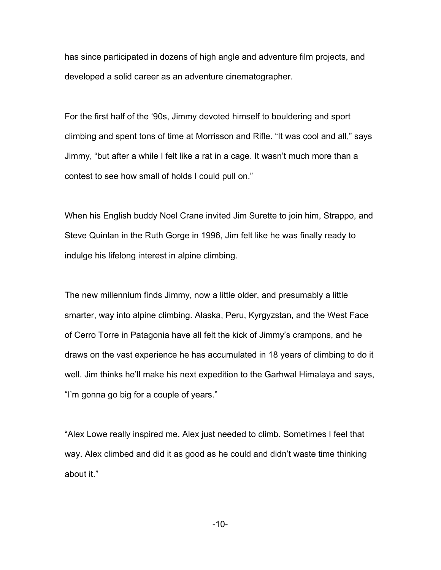has since participated in dozens of high angle and adventure film projects, and developed a solid career as an adventure cinematographer.

For the first half of the '90s, Jimmy devoted himself to bouldering and sport climbing and spent tons of time at Morrisson and Rifle. "It was cool and all," says Jimmy, "but after a while I felt like a rat in a cage. It wasn't much more than a contest to see how small of holds I could pull on."

When his English buddy Noel Crane invited Jim Surette to join him, Strappo, and Steve Quinlan in the Ruth Gorge in 1996, Jim felt like he was finally ready to indulge his lifelong interest in alpine climbing.

The new millennium finds Jimmy, now a little older, and presumably a little smarter, way into alpine climbing. Alaska, Peru, Kyrgyzstan, and the West Face of Cerro Torre in Patagonia have all felt the kick of Jimmy's crampons, and he draws on the vast experience he has accumulated in 18 years of climbing to do it well. Jim thinks he'll make his next expedition to the Garhwal Himalaya and says, "I'm gonna go big for a couple of years."

"Alex Lowe really inspired me. Alex just needed to climb. Sometimes I feel that way. Alex climbed and did it as good as he could and didn't waste time thinking about it."

-10-